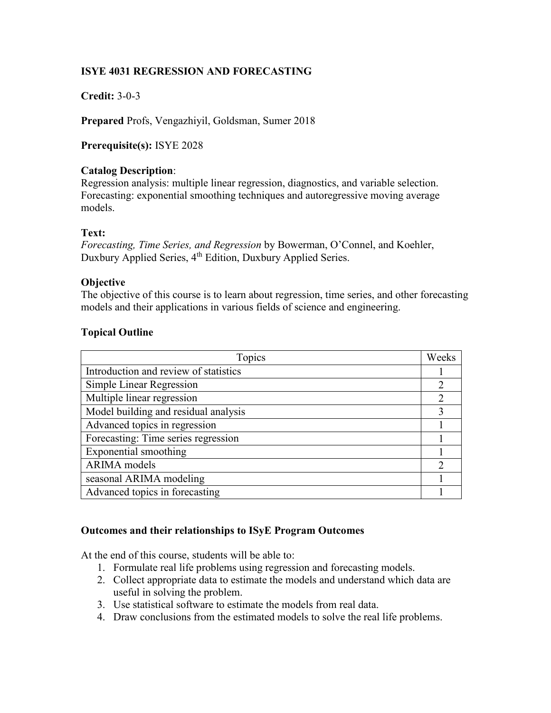# **ISYE 4031 REGRESSION AND FORECASTING**

# **Credit:** 3-0-3

**Prepared** Profs, Vengazhiyil, Goldsman, Sumer 2018

**Prerequisite(s):** ISYE 2028

## **Catalog Description**:

Regression analysis: multiple linear regression, diagnostics, and variable selection. Forecasting: exponential smoothing techniques and autoregressive moving average models.

## **Text:**

*Forecasting, Time Series, and Regression* by Bowerman, O'Connel, and Koehler, Duxbury Applied Series, 4<sup>th</sup> Edition, Duxbury Applied Series.

#### **Objective**

The objective of this course is to learn about regression, time series, and other forecasting models and their applications in various fields of science and engineering.

## **Topical Outline**

| Topics                                | Weeks          |
|---------------------------------------|----------------|
| Introduction and review of statistics |                |
| Simple Linear Regression              | $\overline{2}$ |
| Multiple linear regression            | $\overline{2}$ |
| Model building and residual analysis  | 3              |
| Advanced topics in regression         |                |
| Forecasting: Time series regression   |                |
| Exponential smoothing                 |                |
| <b>ARIMA</b> models                   | $\overline{2}$ |
| seasonal ARIMA modeling               |                |
| Advanced topics in forecasting        |                |

## **Outcomes and their relationships to ISyE Program Outcomes**

At the end of this course, students will be able to:

- 1. Formulate real life problems using regression and forecasting models.
- 2. Collect appropriate data to estimate the models and understand which data are useful in solving the problem.
- 3. Use statistical software to estimate the models from real data.
- 4. Draw conclusions from the estimated models to solve the real life problems.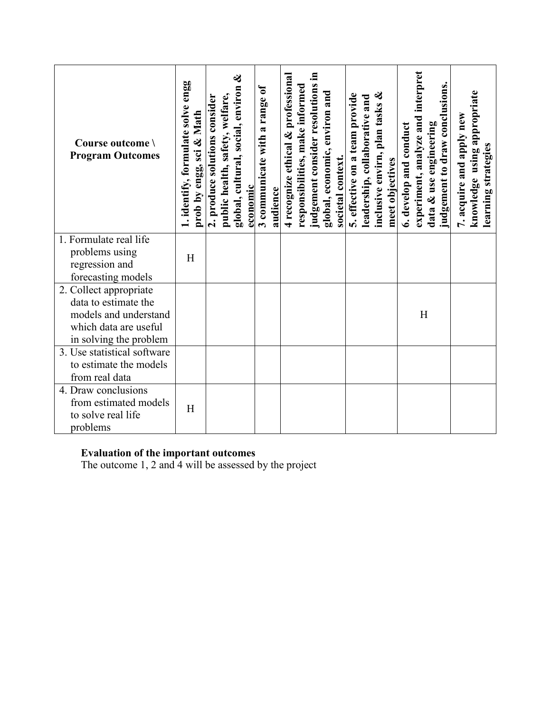| Course outcome \<br><b>Program Outcomes</b>           | 1. identify, formulate solve engg<br>prob by engg, sci & Math | જી<br>global, cultural, social, environ<br>public health, safety, welfare,<br>2. produce solutions consider<br>economic | 3 communicate with a range of<br>audience | judgement consider resolutions in<br>4 recognize ethical & professional<br>responsibilities, make informed<br>global, economic, environ and<br>societal context. | ଝ<br>5. effective on a team provide<br>leadership, collaborative and<br>inclusive envirn, plan tasks<br>meet objectives | experiment, analyze and interpret<br>judgement to draw conclusions.<br>data & use engineering<br>6. develop and conduct | knowledge using appropriate<br>7. acquire and apply new<br>learning strategies |
|-------------------------------------------------------|---------------------------------------------------------------|-------------------------------------------------------------------------------------------------------------------------|-------------------------------------------|------------------------------------------------------------------------------------------------------------------------------------------------------------------|-------------------------------------------------------------------------------------------------------------------------|-------------------------------------------------------------------------------------------------------------------------|--------------------------------------------------------------------------------|
| 1. Formulate real life                                |                                                               |                                                                                                                         |                                           |                                                                                                                                                                  |                                                                                                                         |                                                                                                                         |                                                                                |
| problems using                                        | H                                                             |                                                                                                                         |                                           |                                                                                                                                                                  |                                                                                                                         |                                                                                                                         |                                                                                |
| regression and<br>forecasting models                  |                                                               |                                                                                                                         |                                           |                                                                                                                                                                  |                                                                                                                         |                                                                                                                         |                                                                                |
| 2. Collect appropriate                                |                                                               |                                                                                                                         |                                           |                                                                                                                                                                  |                                                                                                                         |                                                                                                                         |                                                                                |
| data to estimate the                                  |                                                               |                                                                                                                         |                                           |                                                                                                                                                                  |                                                                                                                         |                                                                                                                         |                                                                                |
| models and understand                                 |                                                               |                                                                                                                         |                                           |                                                                                                                                                                  |                                                                                                                         | H                                                                                                                       |                                                                                |
| which data are useful                                 |                                                               |                                                                                                                         |                                           |                                                                                                                                                                  |                                                                                                                         |                                                                                                                         |                                                                                |
| in solving the problem                                |                                                               |                                                                                                                         |                                           |                                                                                                                                                                  |                                                                                                                         |                                                                                                                         |                                                                                |
| 3. Use statistical software<br>to estimate the models |                                                               |                                                                                                                         |                                           |                                                                                                                                                                  |                                                                                                                         |                                                                                                                         |                                                                                |
| from real data                                        |                                                               |                                                                                                                         |                                           |                                                                                                                                                                  |                                                                                                                         |                                                                                                                         |                                                                                |
| 4. Draw conclusions                                   |                                                               |                                                                                                                         |                                           |                                                                                                                                                                  |                                                                                                                         |                                                                                                                         |                                                                                |
| from estimated models                                 |                                                               |                                                                                                                         |                                           |                                                                                                                                                                  |                                                                                                                         |                                                                                                                         |                                                                                |
| to solve real life                                    | H                                                             |                                                                                                                         |                                           |                                                                                                                                                                  |                                                                                                                         |                                                                                                                         |                                                                                |
| problems                                              |                                                               |                                                                                                                         |                                           |                                                                                                                                                                  |                                                                                                                         |                                                                                                                         |                                                                                |

## **Evaluation of the important outcomes**

The outcome 1, 2 and 4 will be assessed by the project